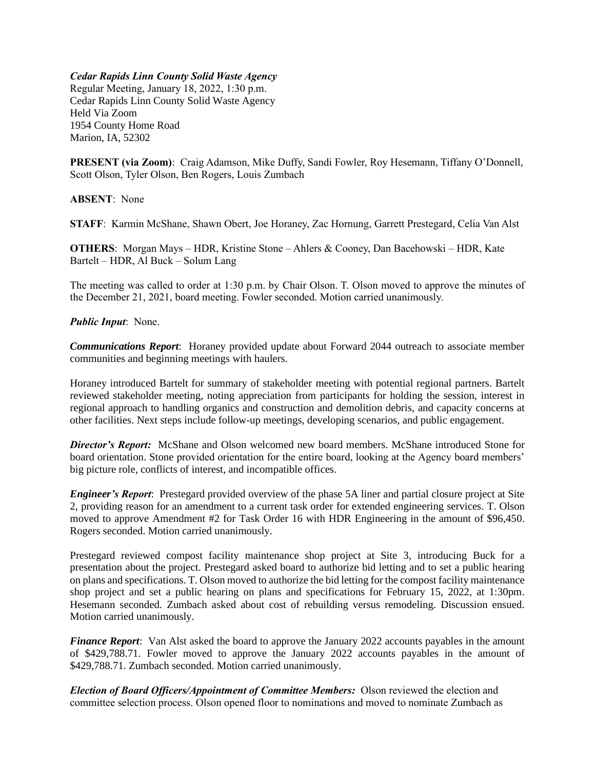## *Cedar Rapids Linn County Solid Waste Agency*

Regular Meeting, January 18, 2022, 1:30 p.m. Cedar Rapids Linn County Solid Waste Agency Held Via Zoom 1954 County Home Road Marion, IA, 52302

**PRESENT (via Zoom)**: Craig Adamson, Mike Duffy, Sandi Fowler, Roy Hesemann, Tiffany O'Donnell, Scott Olson, Tyler Olson, Ben Rogers, Louis Zumbach

**ABSENT**: None

**STAFF**: Karmin McShane, Shawn Obert, Joe Horaney, Zac Hornung, Garrett Prestegard, Celia Van Alst

**OTHERS**: Morgan Mays – HDR, Kristine Stone – Ahlers & Cooney, Dan Bacehowski – HDR, Kate Bartelt – HDR, Al Buck – Solum Lang

The meeting was called to order at 1:30 p.m. by Chair Olson. T. Olson moved to approve the minutes of the December 21, 2021, board meeting. Fowler seconded. Motion carried unanimously.

## *Public Input*: None.

*Communications Report*: Horaney provided update about Forward 2044 outreach to associate member communities and beginning meetings with haulers.

Horaney introduced Bartelt for summary of stakeholder meeting with potential regional partners. Bartelt reviewed stakeholder meeting, noting appreciation from participants for holding the session, interest in regional approach to handling organics and construction and demolition debris, and capacity concerns at other facilities. Next steps include follow-up meetings, developing scenarios, and public engagement.

*Director's Report:* McShane and Olson welcomed new board members. McShane introduced Stone for board orientation. Stone provided orientation for the entire board, looking at the Agency board members' big picture role, conflicts of interest, and incompatible offices.

*Engineer's Report*: Prestegard provided overview of the phase 5A liner and partial closure project at Site 2, providing reason for an amendment to a current task order for extended engineering services. T. Olson moved to approve Amendment #2 for Task Order 16 with HDR Engineering in the amount of \$96,450. Rogers seconded. Motion carried unanimously.

Prestegard reviewed compost facility maintenance shop project at Site 3, introducing Buck for a presentation about the project. Prestegard asked board to authorize bid letting and to set a public hearing on plans and specifications. T. Olson moved to authorize the bid letting for the compost facility maintenance shop project and set a public hearing on plans and specifications for February 15, 2022, at 1:30pm. Hesemann seconded. Zumbach asked about cost of rebuilding versus remodeling. Discussion ensued. Motion carried unanimously.

*Finance Report*: Van Alst asked the board to approve the January 2022 accounts payables in the amount of \$429,788.71. Fowler moved to approve the January 2022 accounts payables in the amount of \$429,788.71. Zumbach seconded. Motion carried unanimously.

*Election of Board Officers/Appointment of Committee Members:* Olson reviewed the election and committee selection process. Olson opened floor to nominations and moved to nominate Zumbach as